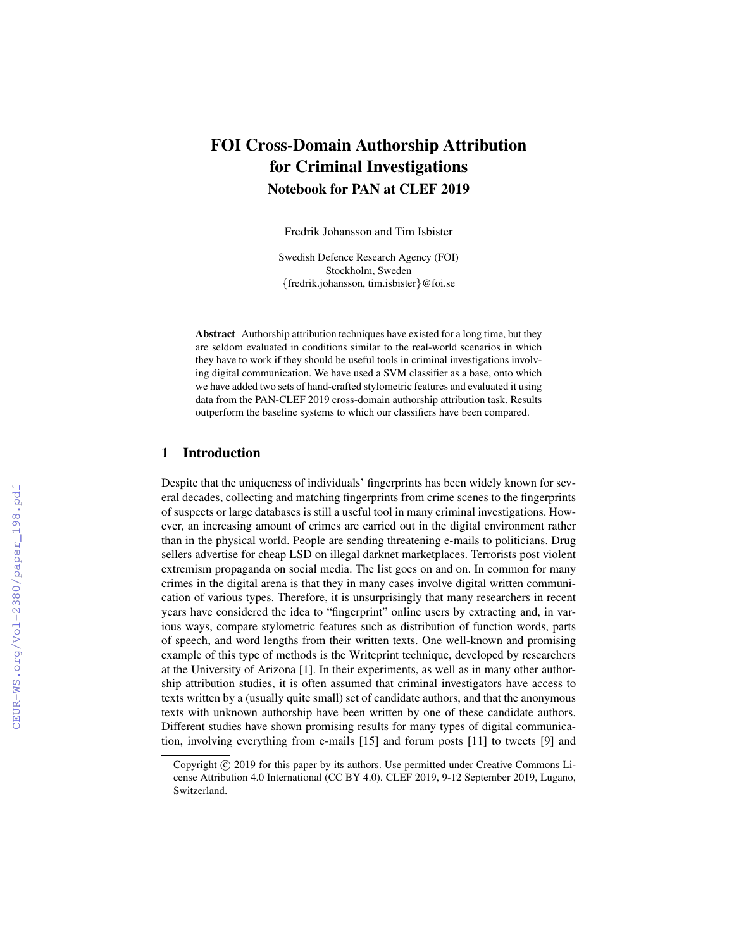# FOI Cross-Domain Authorship Attribution for Criminal Investigations Notebook for PAN at CLEF 2019

Fredrik Johansson and Tim Isbister

Swedish Defence Research Agency (FOI) Stockholm, Sweden {fredrik.johansson, tim.isbister}@foi.se

Abstract Authorship attribution techniques have existed for a long time, but they are seldom evaluated in conditions similar to the real-world scenarios in which they have to work if they should be useful tools in criminal investigations involving digital communication. We have used a SVM classifier as a base, onto which we have added two sets of hand-crafted stylometric features and evaluated it using data from the PAN-CLEF 2019 cross-domain authorship attribution task. Results outperform the baseline systems to which our classifiers have been compared.

#### 1 Introduction

Despite that the uniqueness of individuals' fingerprints has been widely known for several decades, collecting and matching fingerprints from crime scenes to the fingerprints of suspects or large databases is still a useful tool in many criminal investigations. However, an increasing amount of crimes are carried out in the digital environment rather than in the physical world. People are sending threatening e-mails to politicians. Drug sellers advertise for cheap LSD on illegal darknet marketplaces. Terrorists post violent extremism propaganda on social media. The list goes on and on. In common for many crimes in the digital arena is that they in many cases involve digital written communication of various types. Therefore, it is unsurprisingly that many researchers in recent years have considered the idea to "fingerprint" online users by extracting and, in various ways, compare stylometric features such as distribution of function words, parts of speech, and word lengths from their written texts. One well-known and promising example of this type of methods is the Writeprint technique, developed by researchers at the University of Arizona [1]. In their experiments, as well as in many other authorship attribution studies, it is often assumed that criminal investigators have access to texts written by a (usually quite small) set of candidate authors, and that the anonymous texts with unknown authorship have been written by one of these candidate authors. Different studies have shown promising results for many types of digital communication, involving everything from e-mails [15] and forum posts [11] to tweets [9] and

Copyright  $\odot$  2019 for this paper by its authors. Use permitted under Creative Commons License Attribution 4.0 International (CC BY 4.0). CLEF 2019, 9-12 September 2019, Lugano, Switzerland.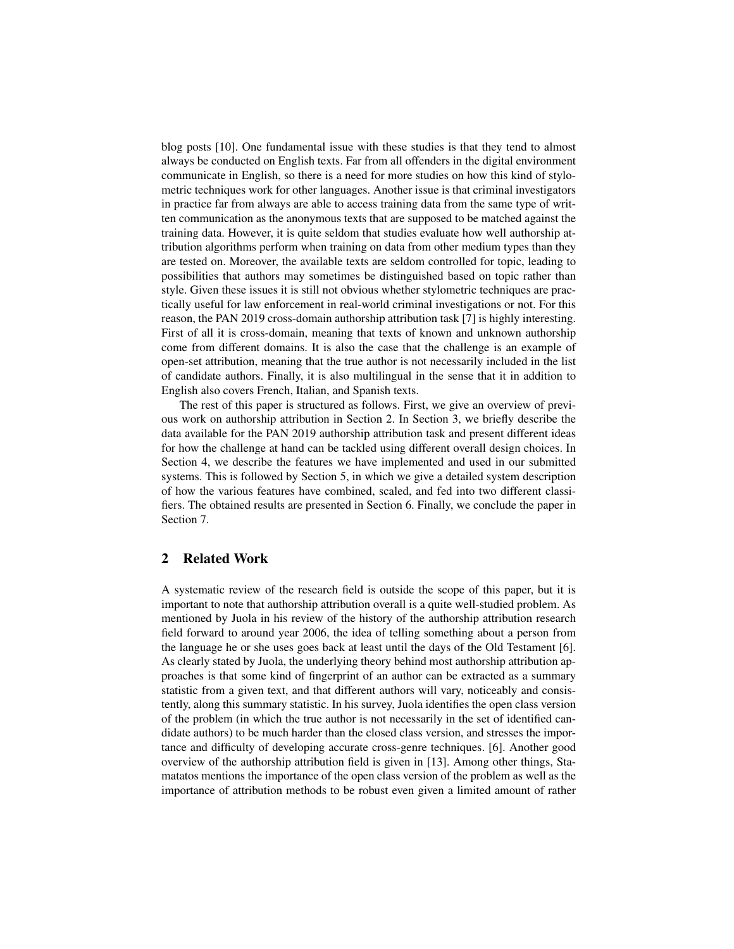blog posts [10]. One fundamental issue with these studies is that they tend to almost always be conducted on English texts. Far from all offenders in the digital environment communicate in English, so there is a need for more studies on how this kind of stylometric techniques work for other languages. Another issue is that criminal investigators in practice far from always are able to access training data from the same type of written communication as the anonymous texts that are supposed to be matched against the training data. However, it is quite seldom that studies evaluate how well authorship attribution algorithms perform when training on data from other medium types than they are tested on. Moreover, the available texts are seldom controlled for topic, leading to possibilities that authors may sometimes be distinguished based on topic rather than style. Given these issues it is still not obvious whether stylometric techniques are practically useful for law enforcement in real-world criminal investigations or not. For this reason, the PAN 2019 cross-domain authorship attribution task [7] is highly interesting. First of all it is cross-domain, meaning that texts of known and unknown authorship come from different domains. It is also the case that the challenge is an example of open-set attribution, meaning that the true author is not necessarily included in the list of candidate authors. Finally, it is also multilingual in the sense that it in addition to English also covers French, Italian, and Spanish texts.

The rest of this paper is structured as follows. First, we give an overview of previous work on authorship attribution in Section 2. In Section 3, we briefly describe the data available for the PAN 2019 authorship attribution task and present different ideas for how the challenge at hand can be tackled using different overall design choices. In Section 4, we describe the features we have implemented and used in our submitted systems. This is followed by Section 5, in which we give a detailed system description of how the various features have combined, scaled, and fed into two different classifiers. The obtained results are presented in Section 6. Finally, we conclude the paper in Section 7.

#### 2 Related Work

A systematic review of the research field is outside the scope of this paper, but it is important to note that authorship attribution overall is a quite well-studied problem. As mentioned by Juola in his review of the history of the authorship attribution research field forward to around year 2006, the idea of telling something about a person from the language he or she uses goes back at least until the days of the Old Testament [6]. As clearly stated by Juola, the underlying theory behind most authorship attribution approaches is that some kind of fingerprint of an author can be extracted as a summary statistic from a given text, and that different authors will vary, noticeably and consistently, along this summary statistic. In his survey, Juola identifies the open class version of the problem (in which the true author is not necessarily in the set of identified candidate authors) to be much harder than the closed class version, and stresses the importance and difficulty of developing accurate cross-genre techniques. [6]. Another good overview of the authorship attribution field is given in [13]. Among other things, Stamatatos mentions the importance of the open class version of the problem as well as the importance of attribution methods to be robust even given a limited amount of rather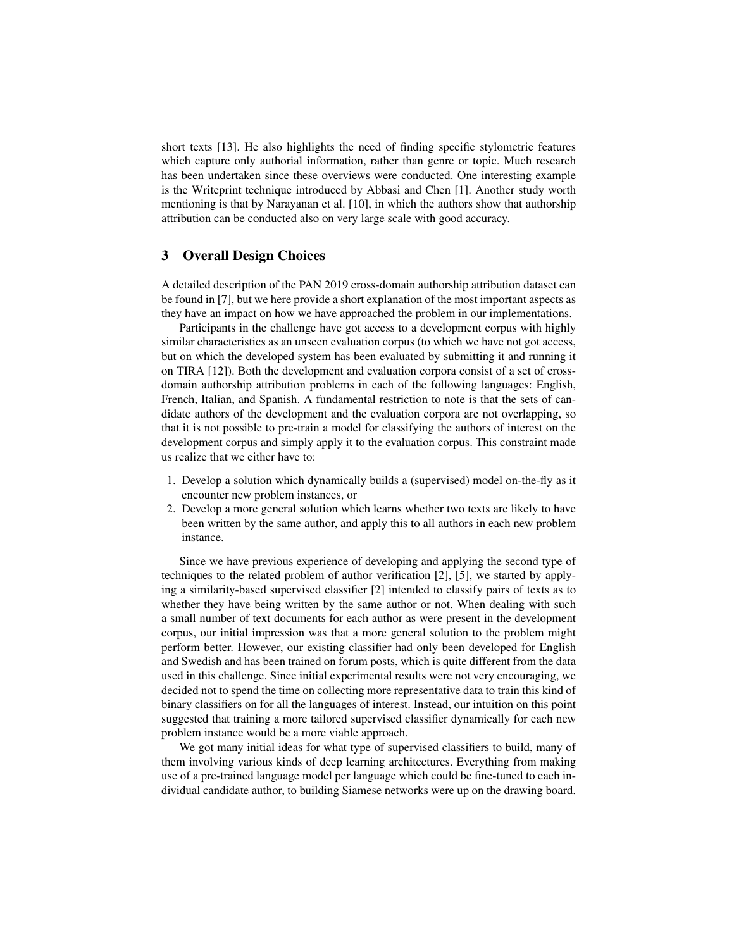short texts [13]. He also highlights the need of finding specific stylometric features which capture only authorial information, rather than genre or topic. Much research has been undertaken since these overviews were conducted. One interesting example is the Writeprint technique introduced by Abbasi and Chen [1]. Another study worth mentioning is that by Narayanan et al. [10], in which the authors show that authorship attribution can be conducted also on very large scale with good accuracy.

# 3 Overall Design Choices

A detailed description of the PAN 2019 cross-domain authorship attribution dataset can be found in [7], but we here provide a short explanation of the most important aspects as they have an impact on how we have approached the problem in our implementations.

Participants in the challenge have got access to a development corpus with highly similar characteristics as an unseen evaluation corpus (to which we have not got access, but on which the developed system has been evaluated by submitting it and running it on TIRA [12]). Both the development and evaluation corpora consist of a set of crossdomain authorship attribution problems in each of the following languages: English, French, Italian, and Spanish. A fundamental restriction to note is that the sets of candidate authors of the development and the evaluation corpora are not overlapping, so that it is not possible to pre-train a model for classifying the authors of interest on the development corpus and simply apply it to the evaluation corpus. This constraint made us realize that we either have to:

- 1. Develop a solution which dynamically builds a (supervised) model on-the-fly as it encounter new problem instances, or
- 2. Develop a more general solution which learns whether two texts are likely to have been written by the same author, and apply this to all authors in each new problem instance.

Since we have previous experience of developing and applying the second type of techniques to the related problem of author verification [2], [5], we started by applying a similarity-based supervised classifier [2] intended to classify pairs of texts as to whether they have being written by the same author or not. When dealing with such a small number of text documents for each author as were present in the development corpus, our initial impression was that a more general solution to the problem might perform better. However, our existing classifier had only been developed for English and Swedish and has been trained on forum posts, which is quite different from the data used in this challenge. Since initial experimental results were not very encouraging, we decided not to spend the time on collecting more representative data to train this kind of binary classifiers on for all the languages of interest. Instead, our intuition on this point suggested that training a more tailored supervised classifier dynamically for each new problem instance would be a more viable approach.

We got many initial ideas for what type of supervised classifiers to build, many of them involving various kinds of deep learning architectures. Everything from making use of a pre-trained language model per language which could be fine-tuned to each individual candidate author, to building Siamese networks were up on the drawing board.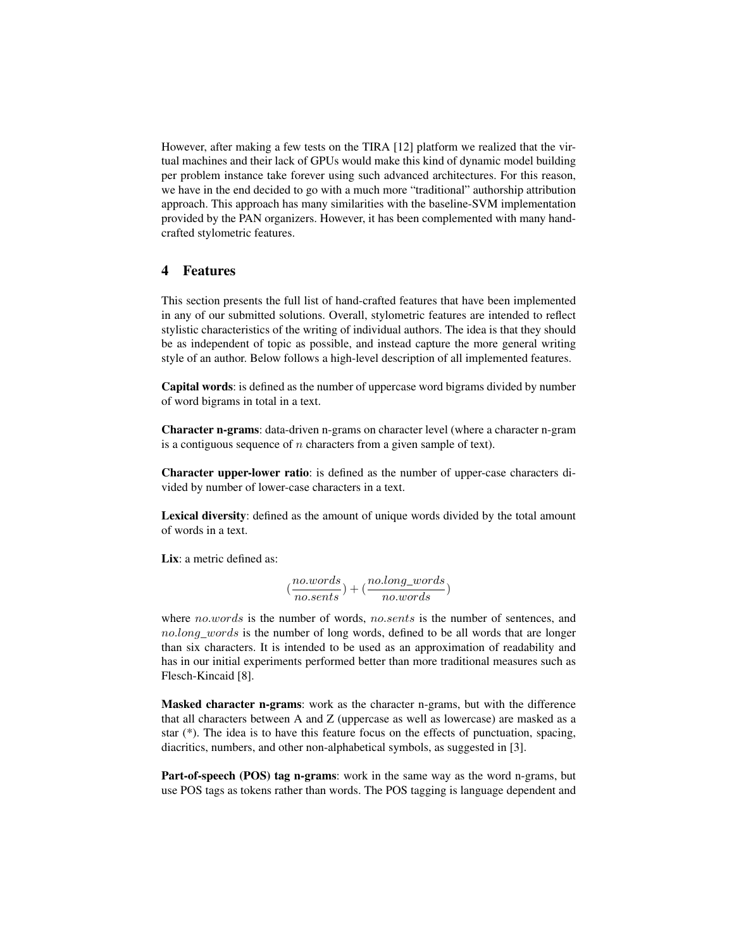However, after making a few tests on the TIRA [12] platform we realized that the virtual machines and their lack of GPUs would make this kind of dynamic model building per problem instance take forever using such advanced architectures. For this reason, we have in the end decided to go with a much more "traditional" authorship attribution approach. This approach has many similarities with the baseline-SVM implementation provided by the PAN organizers. However, it has been complemented with many handcrafted stylometric features.

## 4 Features

This section presents the full list of hand-crafted features that have been implemented in any of our submitted solutions. Overall, stylometric features are intended to reflect stylistic characteristics of the writing of individual authors. The idea is that they should be as independent of topic as possible, and instead capture the more general writing style of an author. Below follows a high-level description of all implemented features.

Capital words: is defined as the number of uppercase word bigrams divided by number of word bigrams in total in a text.

Character n-grams: data-driven n-grams on character level (where a character n-gram is a contiguous sequence of  $n$  characters from a given sample of text).

Character upper-lower ratio: is defined as the number of upper-case characters divided by number of lower-case characters in a text.

Lexical diversity: defined as the amount of unique words divided by the total amount of words in a text.

Lix: a metric defined as:

$$
(\frac{no.words}{no.sents}) + (\frac{no.long\_words}{no.words})
$$

where no.words is the number of words, no.sents is the number of sentences, and no.long\_words is the number of long words, defined to be all words that are longer than six characters. It is intended to be used as an approximation of readability and has in our initial experiments performed better than more traditional measures such as Flesch-Kincaid [8].

Masked character n-grams: work as the character n-grams, but with the difference that all characters between A and Z (uppercase as well as lowercase) are masked as a star (\*). The idea is to have this feature focus on the effects of punctuation, spacing, diacritics, numbers, and other non-alphabetical symbols, as suggested in [3].

Part-of-speech (POS) tag n-grams: work in the same way as the word n-grams, but use POS tags as tokens rather than words. The POS tagging is language dependent and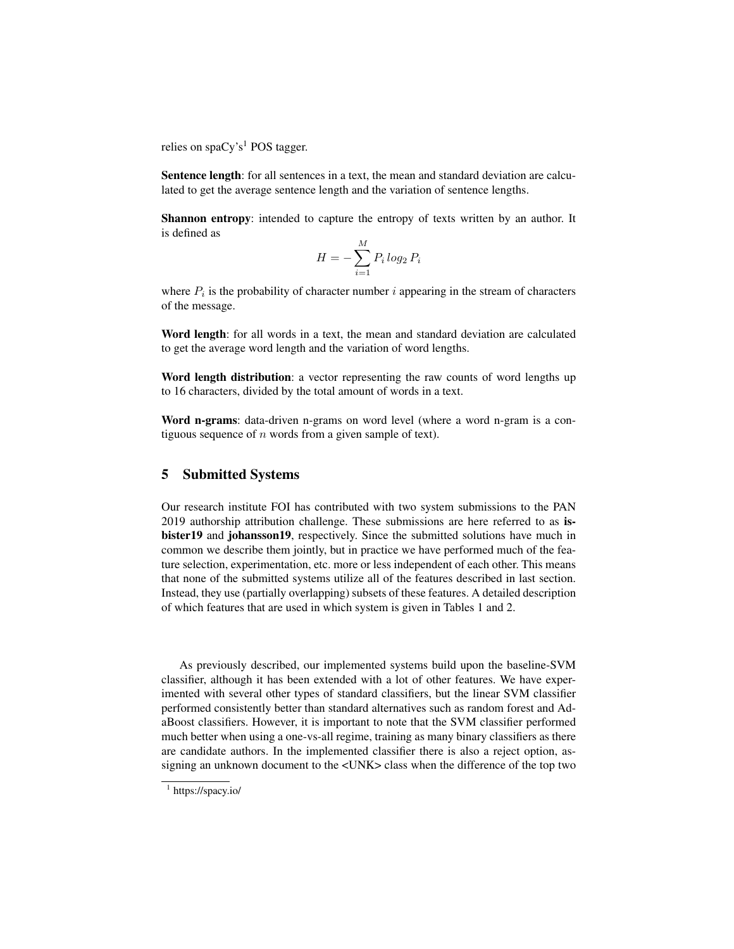relies on spaCy's<sup>1</sup> POS tagger.

Sentence length: for all sentences in a text, the mean and standard deviation are calculated to get the average sentence length and the variation of sentence lengths.

Shannon entropy: intended to capture the entropy of texts written by an author. It is defined as

$$
H = -\sum_{i=1}^{M} P_i \log_2 P_i
$$

where  $P_i$  is the probability of character number i appearing in the stream of characters of the message.

Word length: for all words in a text, the mean and standard deviation are calculated to get the average word length and the variation of word lengths.

Word length distribution: a vector representing the raw counts of word lengths up to 16 characters, divided by the total amount of words in a text.

Word n-grams: data-driven n-grams on word level (where a word n-gram is a contiguous sequence of  $n$  words from a given sample of text).

# 5 Submitted Systems

Our research institute FOI has contributed with two system submissions to the PAN 2019 authorship attribution challenge. These submissions are here referred to as isbister19 and johansson19, respectively. Since the submitted solutions have much in common we describe them jointly, but in practice we have performed much of the feature selection, experimentation, etc. more or less independent of each other. This means that none of the submitted systems utilize all of the features described in last section. Instead, they use (partially overlapping) subsets of these features. A detailed description of which features that are used in which system is given in Tables 1 and 2.

As previously described, our implemented systems build upon the baseline-SVM classifier, although it has been extended with a lot of other features. We have experimented with several other types of standard classifiers, but the linear SVM classifier performed consistently better than standard alternatives such as random forest and AdaBoost classifiers. However, it is important to note that the SVM classifier performed much better when using a one-vs-all regime, training as many binary classifiers as there are candidate authors. In the implemented classifier there is also a reject option, assigning an unknown document to the <UNK> class when the difference of the top two

<sup>&</sup>lt;sup>1</sup> https://spacy.io/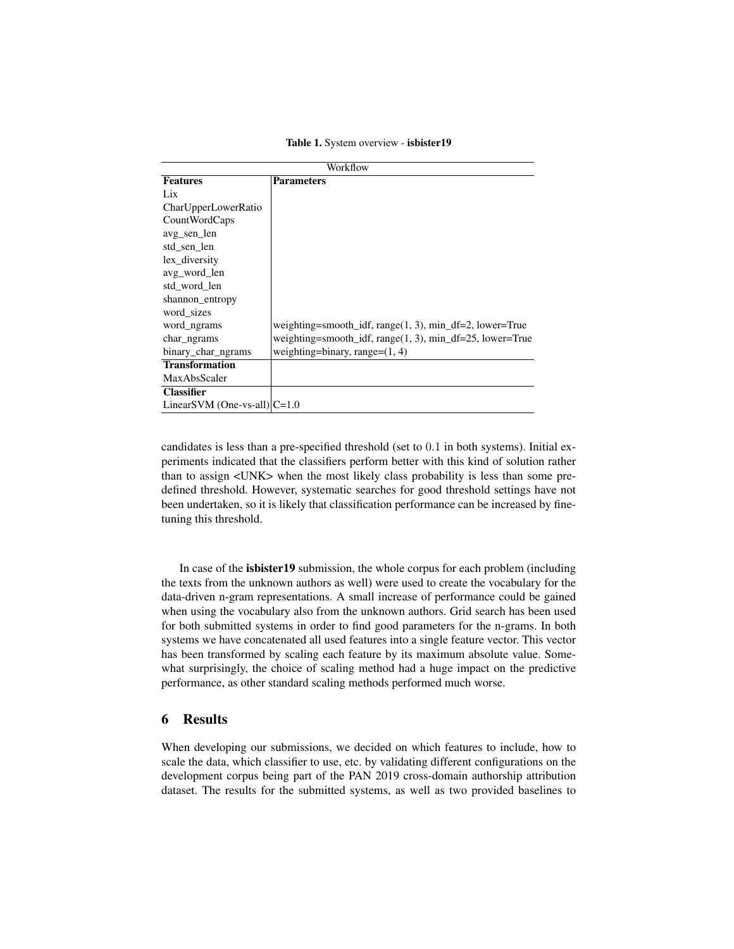|  |  | Table 1. System overview - isbister19 |
|--|--|---------------------------------------|
|  |  |                                       |

| Workflow                        |                                                              |  |  |  |  |  |
|---------------------------------|--------------------------------------------------------------|--|--|--|--|--|
| <b>Features</b>                 | <b>Parameters</b>                                            |  |  |  |  |  |
| Lix                             |                                                              |  |  |  |  |  |
| CharUpperLowerRatio             |                                                              |  |  |  |  |  |
| CountWordCaps                   |                                                              |  |  |  |  |  |
| avg sen len                     |                                                              |  |  |  |  |  |
| std sen len                     |                                                              |  |  |  |  |  |
| lex_diversity                   |                                                              |  |  |  |  |  |
| avg_word_len                    |                                                              |  |  |  |  |  |
| std word len                    |                                                              |  |  |  |  |  |
| shannon_entropy                 |                                                              |  |  |  |  |  |
| word sizes                      |                                                              |  |  |  |  |  |
| word ngrams                     | weighting=smooth_idf, range $(1, 3)$ , min_df=2, lower=True  |  |  |  |  |  |
| char ngrams                     | weighting=smooth_idf, range $(1, 3)$ , min_df=25, lower=True |  |  |  |  |  |
| binary_char_ngrams              | weighting=binary, range= $(1, 4)$                            |  |  |  |  |  |
| <b>Transformation</b>           |                                                              |  |  |  |  |  |
| MaxAbsScaler                    |                                                              |  |  |  |  |  |
| <b>Classifier</b>               |                                                              |  |  |  |  |  |
| LinearSVM (One-vs-all) $ C=1.0$ |                                                              |  |  |  |  |  |

candidates is less than a pre-specified threshold (set to 0.1 in both systems). Initial experiments indicated that the classifiers perform better with this kind of solution rather than to assign <UNK> when the most likely class probability is less than some predefined threshold. However, systematic searches for good threshold settings have not been undertaken, so it is likely that classification performance can be increased by finetuning this threshold.

In case of the isbister19 submission, the whole corpus for each problem (including the texts from the unknown authors as well) were used to create the vocabulary for the data-driven n-gram representations. A small increase of performance could be gained when using the vocabulary also from the unknown authors. Grid search has been used for both submitted systems in order to find good parameters for the n-grams. In both systems we have concatenated all used features into a single feature vector. This vector has been transformed by scaling each feature by its maximum absolute value. Somewhat surprisingly, the choice of scaling method had a huge impact on the predictive performance, as other standard scaling methods performed much worse.

# 6 Results

When developing our submissions, we decided on which features to include, how to scale the data, which classifier to use, etc. by validating different configurations on the development corpus being part of the PAN 2019 cross-domain authorship attribution dataset. The results for the submitted systems, as well as two provided baselines to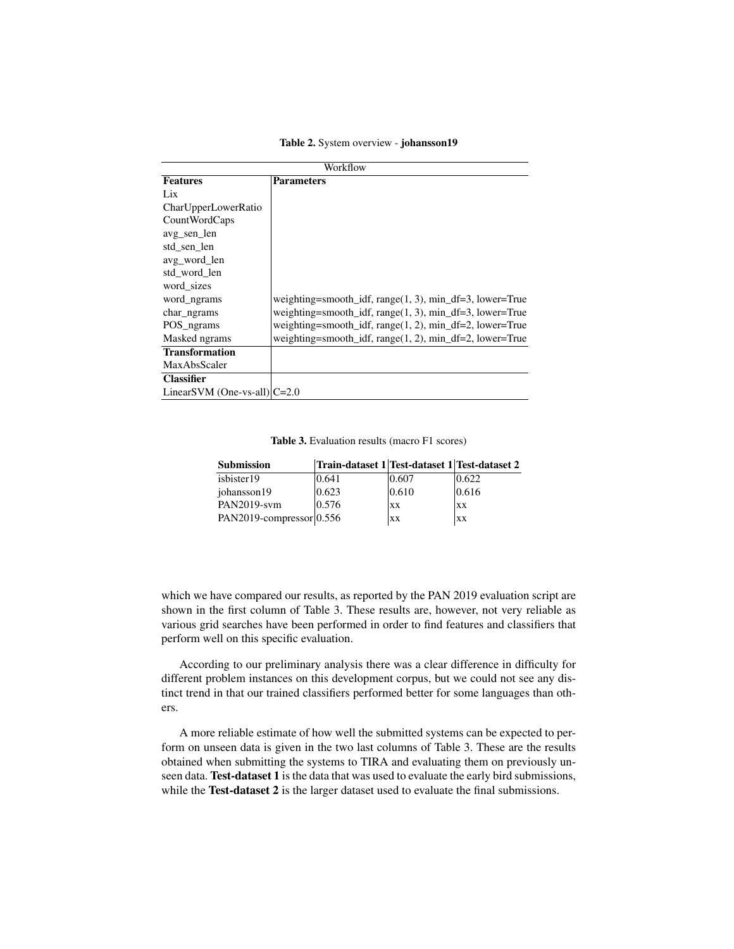Table 2. System overview - johansson19

| Workflow                        |                                                             |  |  |  |  |  |
|---------------------------------|-------------------------------------------------------------|--|--|--|--|--|
| <b>Features</b>                 | <b>Parameters</b>                                           |  |  |  |  |  |
| Lix                             |                                                             |  |  |  |  |  |
| CharUpperLowerRatio             |                                                             |  |  |  |  |  |
| CountWordCaps                   |                                                             |  |  |  |  |  |
| avg sen len                     |                                                             |  |  |  |  |  |
| std sen len                     |                                                             |  |  |  |  |  |
| avg_word_len                    |                                                             |  |  |  |  |  |
| std word len                    |                                                             |  |  |  |  |  |
| word sizes                      |                                                             |  |  |  |  |  |
| word_ngrams                     | weighting=smooth_idf, range $(1, 3)$ , min_df=3, lower=True |  |  |  |  |  |
| char ngrams                     | weighting=smooth_idf, range(1, 3), min_df=3, lower=True     |  |  |  |  |  |
| POS ngrams                      | weighting=smooth_idf, range $(1, 2)$ , min_df=2, lower=True |  |  |  |  |  |
| Masked ngrams                   | weighting=smooth_idf, range $(1, 2)$ , min_df=2, lower=True |  |  |  |  |  |
| <b>Transformation</b>           |                                                             |  |  |  |  |  |
| <b>MaxAbsScaler</b>             |                                                             |  |  |  |  |  |
| <b>Classifier</b>               |                                                             |  |  |  |  |  |
| LinearSVM (One-vs-all) $ C=2.0$ |                                                             |  |  |  |  |  |

Table 3. Evaluation results (macro F1 scores)

| <b>Submission</b>          | Train-dataset 1 Test-dataset 1 Test-dataset 2 |           |           |
|----------------------------|-----------------------------------------------|-----------|-----------|
| isbister19                 | 0.641                                         | 0.607     | 0.622     |
| johansson19                | 0.623                                         | 0.610     | 0.616     |
| PAN2019-svm                | 0.576                                         | XX        | XX        |
| PAN2019-compressor $0.556$ |                                               | <b>XX</b> | <b>XX</b> |

which we have compared our results, as reported by the PAN 2019 evaluation script are shown in the first column of Table 3. These results are, however, not very reliable as various grid searches have been performed in order to find features and classifiers that perform well on this specific evaluation.

According to our preliminary analysis there was a clear difference in difficulty for different problem instances on this development corpus, but we could not see any distinct trend in that our trained classifiers performed better for some languages than others.

A more reliable estimate of how well the submitted systems can be expected to perform on unseen data is given in the two last columns of Table 3. These are the results obtained when submitting the systems to TIRA and evaluating them on previously unseen data. Test-dataset 1 is the data that was used to evaluate the early bird submissions, while the Test-dataset 2 is the larger dataset used to evaluate the final submissions.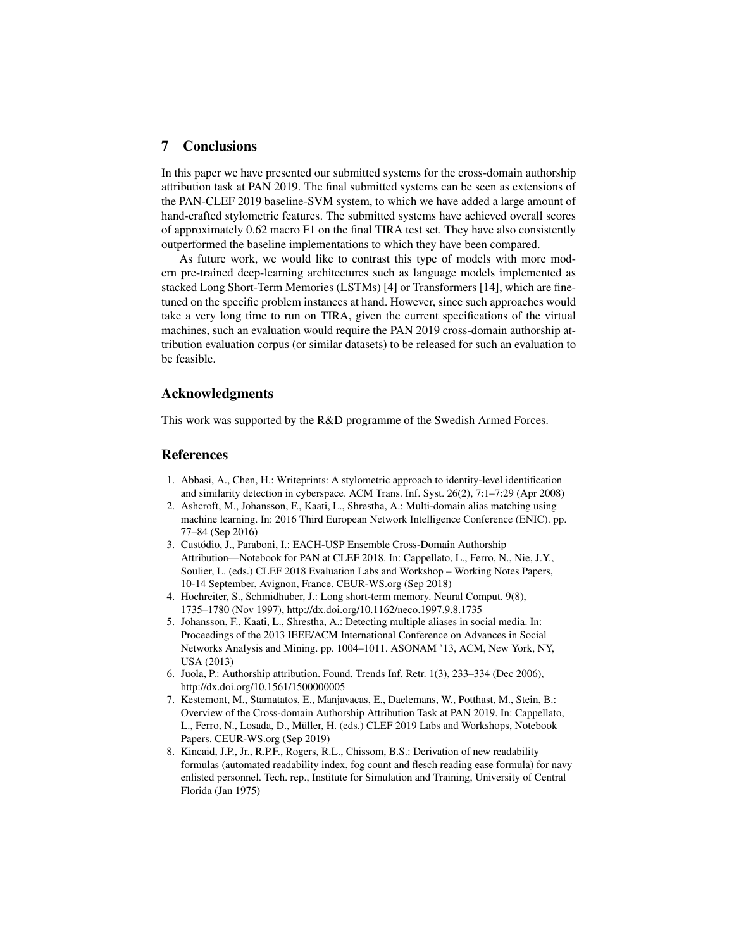## 7 Conclusions

In this paper we have presented our submitted systems for the cross-domain authorship attribution task at PAN 2019. The final submitted systems can be seen as extensions of the PAN-CLEF 2019 baseline-SVM system, to which we have added a large amount of hand-crafted stylometric features. The submitted systems have achieved overall scores of approximately 0.62 macro F1 on the final TIRA test set. They have also consistently outperformed the baseline implementations to which they have been compared.

As future work, we would like to contrast this type of models with more modern pre-trained deep-learning architectures such as language models implemented as stacked Long Short-Term Memories (LSTMs) [4] or Transformers [14], which are finetuned on the specific problem instances at hand. However, since such approaches would take a very long time to run on TIRA, given the current specifications of the virtual machines, such an evaluation would require the PAN 2019 cross-domain authorship attribution evaluation corpus (or similar datasets) to be released for such an evaluation to be feasible.

## Acknowledgments

This work was supported by the R&D programme of the Swedish Armed Forces.

#### References

- 1. Abbasi, A., Chen, H.: Writeprints: A stylometric approach to identity-level identification and similarity detection in cyberspace. ACM Trans. Inf. Syst. 26(2), 7:1–7:29 (Apr 2008)
- 2. Ashcroft, M., Johansson, F., Kaati, L., Shrestha, A.: Multi-domain alias matching using machine learning. In: 2016 Third European Network Intelligence Conference (ENIC). pp. 77–84 (Sep 2016)
- 3. Custódio, J., Paraboni, I.: EACH-USP Ensemble Cross-Domain Authorship Attribution—Notebook for PAN at CLEF 2018. In: Cappellato, L., Ferro, N., Nie, J.Y., Soulier, L. (eds.) CLEF 2018 Evaluation Labs and Workshop – Working Notes Papers, 10-14 September, Avignon, France. CEUR-WS.org (Sep 2018)
- 4. Hochreiter, S., Schmidhuber, J.: Long short-term memory. Neural Comput. 9(8), 1735–1780 (Nov 1997), http://dx.doi.org/10.1162/neco.1997.9.8.1735
- 5. Johansson, F., Kaati, L., Shrestha, A.: Detecting multiple aliases in social media. In: Proceedings of the 2013 IEEE/ACM International Conference on Advances in Social Networks Analysis and Mining. pp. 1004–1011. ASONAM '13, ACM, New York, NY, USA (2013)
- 6. Juola, P.: Authorship attribution. Found. Trends Inf. Retr. 1(3), 233–334 (Dec 2006), http://dx.doi.org/10.1561/1500000005
- 7. Kestemont, M., Stamatatos, E., Manjavacas, E., Daelemans, W., Potthast, M., Stein, B.: Overview of the Cross-domain Authorship Attribution Task at PAN 2019. In: Cappellato, L., Ferro, N., Losada, D., Müller, H. (eds.) CLEF 2019 Labs and Workshops, Notebook Papers. CEUR-WS.org (Sep 2019)
- 8. Kincaid, J.P., Jr., R.P.F., Rogers, R.L., Chissom, B.S.: Derivation of new readability formulas (automated readability index, fog count and flesch reading ease formula) for navy enlisted personnel. Tech. rep., Institute for Simulation and Training, University of Central Florida (Jan 1975)